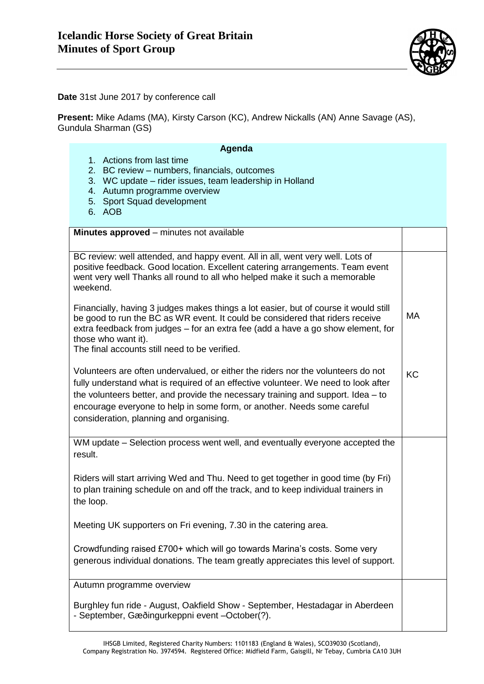

**Date** 31st June 2017 by conference call

**Present:** Mike Adams (MA), Kirsty Carson (KC), Andrew Nickalls (AN) Anne Savage (AS), Gundula Sharman (GS)

| Agenda<br>1. Actions from last time<br>2. BC review - numbers, financials, outcomes<br>3. WC update – rider issues, team leadership in Holland<br>4. Autumn programme overview<br>5. Sport Squad development<br>6. AOB                                                                                                                                                             |    |
|------------------------------------------------------------------------------------------------------------------------------------------------------------------------------------------------------------------------------------------------------------------------------------------------------------------------------------------------------------------------------------|----|
| Minutes approved - minutes not available                                                                                                                                                                                                                                                                                                                                           |    |
| BC review: well attended, and happy event. All in all, went very well. Lots of<br>positive feedback. Good location. Excellent catering arrangements. Team event<br>went very well Thanks all round to all who helped make it such a memorable<br>weekend.                                                                                                                          |    |
| Financially, having 3 judges makes things a lot easier, but of course it would still<br>be good to run the BC as WR event. It could be considered that riders receive<br>extra feedback from judges – for an extra fee (add a have a go show element, for<br>those who want it).<br>The final accounts still need to be verified.                                                  | MA |
| Volunteers are often undervalued, or either the riders nor the volunteers do not<br>fully understand what is required of an effective volunteer. We need to look after<br>the volunteers better, and provide the necessary training and support. Idea $-$ to<br>encourage everyone to help in some form, or another. Needs some careful<br>consideration, planning and organising. | KC |
| WM update – Selection process went well, and eventually everyone accepted the<br>result.                                                                                                                                                                                                                                                                                           |    |
| Riders will start arriving Wed and Thu. Need to get together in good time (by Fri)<br>to plan training schedule on and off the track, and to keep individual trainers in<br>the loop.                                                                                                                                                                                              |    |
| Meeting UK supporters on Fri evening, 7.30 in the catering area.                                                                                                                                                                                                                                                                                                                   |    |
| Crowdfunding raised £700+ which will go towards Marina's costs. Some very<br>generous individual donations. The team greatly appreciates this level of support.                                                                                                                                                                                                                    |    |
| Autumn programme overview                                                                                                                                                                                                                                                                                                                                                          |    |
| Burghley fun ride - August, Oakfield Show - September, Hestadagar in Aberdeen                                                                                                                                                                                                                                                                                                      |    |

- September, Gæðingurkeppni event –October(?).